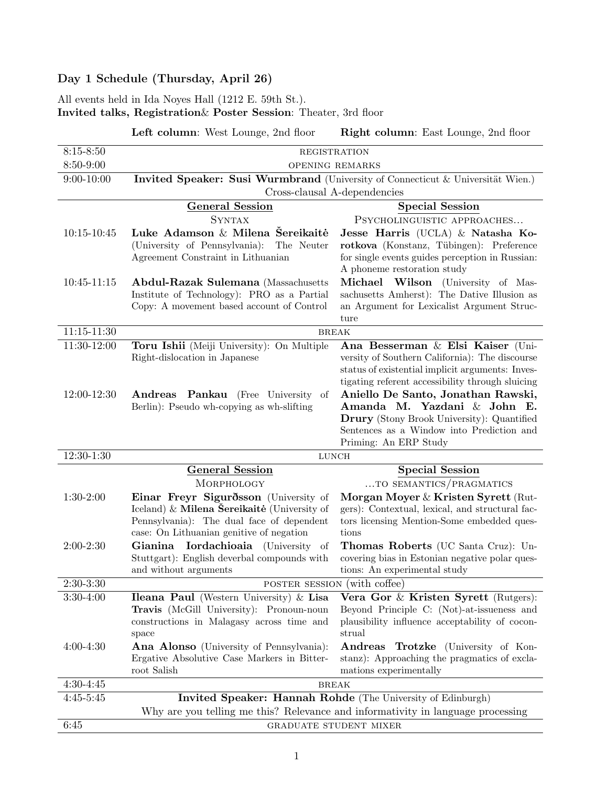# Day 1 Schedule (Thursday, April 26)

All events held in Ida Noyes Hall (1212 E. 59th St.).

Invited talks, Registration& Poster Session: Theater, 3rd floor

Left column: West Lounge, 2nd floor Right column: East Lounge, 2nd floor

| $8:15 - 8:50$<br>8:50-9:00 | REGISTRATION<br>OPENING REMARKS                                                                                 |                                                                                        |  |
|----------------------------|-----------------------------------------------------------------------------------------------------------------|----------------------------------------------------------------------------------------|--|
| $9:00 - 10:00$             |                                                                                                                 |                                                                                        |  |
|                            | Invited Speaker: Susi Wurmbrand (University of Connecticut & Universität Wien.)<br>Cross-clausal A-dependencies |                                                                                        |  |
|                            | <b>General Session</b>                                                                                          | <b>Special Session</b>                                                                 |  |
|                            | <b>SYNTAX</b>                                                                                                   | PSYCHOLINGUISTIC APPROACHES                                                            |  |
| $10:15 - 10:45$            | Luke Adamson & Milena Šereikaitė                                                                                | Jesse Harris (UCLA) & Natasha Ko-                                                      |  |
|                            | (University of Pennsylvania): The Neuter                                                                        | rotkova (Konstanz, Tübingen): Preference                                               |  |
|                            | Agreement Constraint in Lithuanian                                                                              | for single events guides perception in Russian:                                        |  |
|                            |                                                                                                                 | A phoneme restoration study                                                            |  |
| $10:45 - 11:15$            | <b>Abdul-Razak Sulemana</b> (Massachusetts                                                                      | Michael Wilson (University of Mas-                                                     |  |
|                            | Institute of Technology): PRO as a Partial                                                                      | sachusetts Amherst): The Dative Illusion as                                            |  |
|                            | Copy: A movement based account of Control                                                                       | an Argument for Lexicalist Argument Struc-                                             |  |
| $11:15 - 11:30$            | ture                                                                                                            |                                                                                        |  |
| 11:30-12:00                | <b>BREAK</b><br>Ana Besserman & Elsi Kaiser (Uni-                                                               |                                                                                        |  |
|                            | Toru Ishii (Meiji University): On Multiple<br>Right-dislocation in Japanese                                     | versity of Southern California): The discourse                                         |  |
|                            |                                                                                                                 | status of existential implicit arguments: Inves-                                       |  |
|                            |                                                                                                                 | tigating referent accessibility through sluicing                                       |  |
| 12:00-12:30                | Andreas Pankau (Free University of                                                                              | Aniello De Santo, Jonathan Rawski,                                                     |  |
|                            | Berlin): Pseudo wh-copying as wh-slifting                                                                       | Amanda M. Yazdani & John E.                                                            |  |
|                            |                                                                                                                 | <b>Drury</b> (Stony Brook University): Quantified                                      |  |
|                            |                                                                                                                 | Sentences as a Window into Prediction and                                              |  |
|                            |                                                                                                                 | Priming: An ERP Study                                                                  |  |
| $12:30-1:30$               | <b>LUNCH</b>                                                                                                    |                                                                                        |  |
|                            | <b>General Session</b>                                                                                          | <b>Special Session</b>                                                                 |  |
|                            | MORPHOLOGY                                                                                                      | TO SEMANTICS/PRAGMATICS                                                                |  |
| $1:30-2:00$                | Einar Freyr Sigurðsson (University of<br>Iceland) & Milena Sereikaitė (University of                            | Morgan Moyer & Kristen Syrett (Rut-<br>gers): Contextual, lexical, and structural fac- |  |
|                            | Pennsylvania): The dual face of dependent                                                                       | tors licensing Mention-Some embedded ques-                                             |  |
|                            | case: On Lithuanian genitive of negation                                                                        | tions                                                                                  |  |
| $2:00-2:30$                | Gianina Iordachioaia (University of                                                                             | Thomas Roberts (UC Santa Cruz): Un-                                                    |  |
|                            | Stuttgart): English deverbal compounds with                                                                     | covering bias in Estonian negative polar ques-                                         |  |
|                            | and without arguments                                                                                           | tions: An experimental study                                                           |  |
| $2:30-3:30$                | POSTER SESSION (with coffee)                                                                                    |                                                                                        |  |
| $3:30-4:00$                | <b>Ileana Paul</b> (Western University) $\&$ <b>Lisa</b>                                                        | Vera Gor $\&$ Kristen Syrett (Rutgers):                                                |  |
|                            | Travis (McGill University): Pronoun-noun                                                                        | Beyond Principle C: (Not)-at-issueness and                                             |  |
|                            | constructions in Malagasy across time and                                                                       | plausibility influence acceptability of cocon-                                         |  |
|                            | space                                                                                                           | strual                                                                                 |  |
| $4:00-4:30$                | <b>Ana Alonso</b> (University of Pennsylvania):                                                                 | Andreas Trotzke (University of Kon-                                                    |  |
|                            | Ergative Absolutive Case Markers in Bitter-<br>root Salish                                                      | stanz): Approaching the pragmatics of excla-<br>mations experimentally                 |  |
| $4:30-4:45$                | <b>BREAK</b>                                                                                                    |                                                                                        |  |
|                            |                                                                                                                 |                                                                                        |  |
|                            |                                                                                                                 |                                                                                        |  |
| $4:45 - 5:45$              | Invited Speaker: Hannah Rohde (The University of Edinburgh)                                                     | Why are you telling me this? Relevance and informativity in language processing        |  |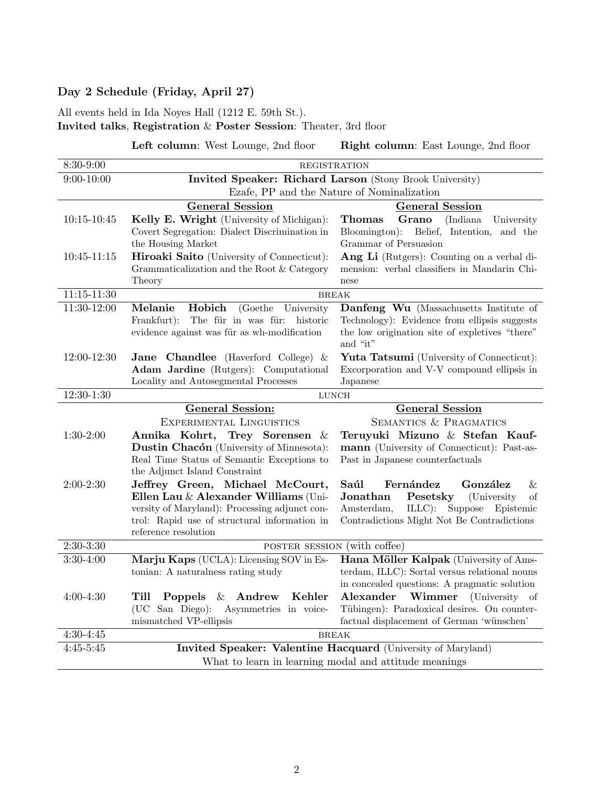## Day 2 Schedule (Friday, April 27)

All events held in Ida Noyes Hall (1212 E. 59th St.). Invited talks, Registration & Poster Session: Theater, 3rd floor

Left column: West Lounge, 2nd floor Right column: East Lounge, 2nd floor

| 8:30-9:00                                             | <b>REGISTRATION</b>                                                      |                                                                                        |  |
|-------------------------------------------------------|--------------------------------------------------------------------------|----------------------------------------------------------------------------------------|--|
| $9:00 - 10:00$                                        | Invited Speaker: Richard Larson (Stony Brook University)                 |                                                                                        |  |
|                                                       | Ezafe, PP and the Nature of Nominalization                               |                                                                                        |  |
|                                                       | <b>General Session</b>                                                   | <b>General Session</b>                                                                 |  |
| $10:15 - 10:45$                                       | Kelly E. Wright (University of Michigan):                                | Grano<br>Thomas<br>(Indiana)<br>University                                             |  |
|                                                       | Covert Segregation: Dialect Discrimination in                            | Bloomington):<br>Belief, Intention, and the                                            |  |
|                                                       | the Housing Market                                                       | Grammar of Persuasion                                                                  |  |
| $10:45-11:15$                                         | <b>Hiroaki Saito</b> (University of Connecticut):                        | Ang Li (Rutgers): Counting on a verbal di-                                             |  |
|                                                       | Grammaticalization and the Root & Category                               | mension: verbal classifiers in Mandarin Chi-                                           |  |
|                                                       | Theory                                                                   | nese                                                                                   |  |
| $11:15 - 11:30$                                       | <b>BREAK</b>                                                             |                                                                                        |  |
| $11:30-12:00$                                         | Hobich<br>Melanie<br>(Goethe University)<br>The für in was für: historic | Danfeng Wu (Massachusetts Institute of<br>Technology): Evidence from ellipsis suggests |  |
|                                                       | Frankfurt):<br>evidence against was für as wh-modification               | the low origination site of expletives "there"                                         |  |
|                                                       |                                                                          | and "it"                                                                               |  |
| 12:00-12:30                                           | Jane Chandlee (Haverford College) &                                      | <b>Yuta Tatsumi</b> (University of Connecticut):                                       |  |
|                                                       | Adam Jardine (Rutgers): Computational                                    | Excorporation and V-V compound ellipsis in                                             |  |
|                                                       | Locality and Autosegmental Processes                                     | Japanese                                                                               |  |
| 12:30-1:30                                            |                                                                          | $LUNCH$                                                                                |  |
|                                                       | <b>General Session</b><br><b>General Session:</b>                        |                                                                                        |  |
|                                                       | EXPERIMENTAL LINGUISTICS                                                 | SEMANTICS & PRAGMATICS                                                                 |  |
| $1:30-2:00$                                           | Annika Kohrt, Trey Sorensen &                                            | Teruyuki Mizuno & Stefan Kauf-                                                         |  |
|                                                       | Dustin Chacón (University of Minnesota):                                 | mann (University of Connecticut): Past-as-                                             |  |
|                                                       | Real Time Status of Semantic Exceptions to                               | Past in Japanese counterfactuals                                                       |  |
| $2:00-2:30$                                           | the Adjunct Island Constraint<br>Jeffrey Green, Michael McCourt,         | Saúl<br>Fernández<br>González<br>&                                                     |  |
|                                                       | Ellen Lau & Alexander Williams (Uni-                                     | Jonathan<br>Pesetsky<br>(University)<br>of                                             |  |
|                                                       | versity of Maryland): Processing adjunct con-                            | $ILLC)$ :<br>Amsterdam,<br>Suppose<br>Epistemic                                        |  |
|                                                       | trol: Rapid use of structural information in                             | Contradictions Might Not Be Contradictions                                             |  |
|                                                       | reference resolution                                                     |                                                                                        |  |
| $2:30-3:30$                                           | POSTER SESSION (with coffee)                                             |                                                                                        |  |
| $3:30-4:00$                                           | Marju Kaps (UCLA): Licensing SOV in Es-                                  | Hana Möller Kalpak (University of Ams-                                                 |  |
|                                                       | tonian: A naturalness rating study                                       | terdam, ILLC): Sortal versus relational nouns                                          |  |
|                                                       |                                                                          | in concealed questions: A pragmatic solution                                           |  |
| $4:00-4:30$                                           | Kehler<br>Poppels & Andrew<br>Till                                       | Alexander<br><b>Wimmer</b> (University of                                              |  |
|                                                       | (UC San Diego):<br>Asymmetries in voice-                                 | Tübingen): Paradoxical desires. On counter-                                            |  |
|                                                       | mismatched VP-ellipsis                                                   | factual displacement of German 'wünschen'                                              |  |
| $4:30-4:45$                                           | <b>BREAK</b>                                                             |                                                                                        |  |
| $4:45-5:45$                                           | Invited Speaker: Valentine Hacquard (University of Maryland)             |                                                                                        |  |
| What to learn in learning modal and attitude meanings |                                                                          |                                                                                        |  |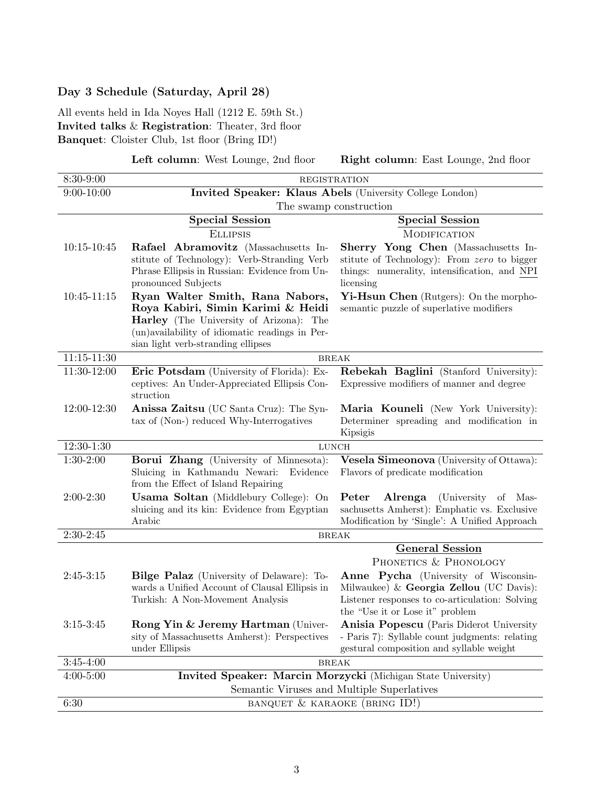### Day 3 Schedule (Saturday, April 28)

All events held in Ida Noyes Hall (1212 E. 59th St.) Invited talks & Registration: Theater, 3rd floor Banquet: Cloister Club, 1st floor (Bring ID!)

Left column: West Lounge, 2nd floor Right column: East Lounge, 2nd floor

| $9:00 - 10:00$<br>Invited Speaker: Klaus Abels (University College London)<br>The swamp construction<br><b>Special Session</b><br><b>Special Session</b><br><b>ELLIPSIS</b><br><b>MODIFICATION</b><br>$10:15 - 10:45$<br>Rafael Abramovitz (Massachusetts In-<br>Sherry Yong Chen (Massachusetts In-<br>stitute of Technology): Verb-Stranding Verb<br>stitute of Technology): From zero to bigger<br>Phrase Ellipsis in Russian: Evidence from Un-<br>things: numerality, intensification, and NPI<br>licensing<br>pronounced Subjects<br>Ryan Walter Smith, Rana Nabors,<br>$10:45 - 11:15$<br>Yi-Hsun Chen (Rutgers): On the morpho-<br>Roya Kabiri, Simin Karimi & Heidi<br>semantic puzzle of superlative modifiers<br>Harley (The University of Arizona): The<br>(un)availability of idiomatic readings in Per-<br>sian light verb-stranding ellipses<br>$11:15 - 11:30$<br><b>BREAK</b><br>11:30-12:00<br>Rebekah Baglini (Stanford University):<br>Eric Potsdam (University of Florida): Ex-<br>ceptives: An Under-Appreciated Ellipsis Con-<br>Expressive modifiers of manner and degree<br>struction<br>12:00-12:30<br>Anissa Zaitsu (UC Santa Cruz): The Syn-<br>Maria Kouneli (New York University):<br>tax of (Non-) reduced Why-Interrogatives<br>Determiner spreading and modification in<br>Kipsigis<br>$12:30-1:30$<br><b>LUNCH</b><br>$1:30-2:00$<br>Borui Zhang (University of Minnesota):<br>Vesela Simeonova (University of Ottawa):<br>Sluicing in Kathmandu Newari:<br>Flavors of predicate modification<br>Evidence<br>from the Effect of Island Repairing<br>$2:00-2:30$<br><b>Usama Soltan</b> (Middlebury College): On<br>Peter<br>Alrenga<br>(University)<br>of<br>Mas-<br>sachusetts Amherst): Emphatic vs. Exclusive<br>sluicing and its kin: Evidence from Egyptian<br>Arabic<br>Modification by 'Single': A Unified Approach<br>$2:30-2:45$<br><b>BREAK</b><br><b>General Session</b><br>PHONETICS & PHONOLOGY<br>$2:45-3:15$<br>Anne Pycha (University of Wisconsin-<br><b>Bilge Palaz</b> (University of Delaware): To-<br>wards a Unified Account of Clausal Ellipsis in<br>Milwaukee) & Georgia Zellou (UC Davis):<br>Listener responses to co-articulation: Solving<br>Turkish: A Non-Movement Analysis<br>the "Use it or Lose it" problem<br>$3:15 - 3:45$<br>Rong Yin & Jeremy Hartman (Univer-<br>Anisia Popescu (Paris Diderot University | 8:30-9:00 | <b>REGISTRATION</b>                                                                                        |  |  |
|------------------------------------------------------------------------------------------------------------------------------------------------------------------------------------------------------------------------------------------------------------------------------------------------------------------------------------------------------------------------------------------------------------------------------------------------------------------------------------------------------------------------------------------------------------------------------------------------------------------------------------------------------------------------------------------------------------------------------------------------------------------------------------------------------------------------------------------------------------------------------------------------------------------------------------------------------------------------------------------------------------------------------------------------------------------------------------------------------------------------------------------------------------------------------------------------------------------------------------------------------------------------------------------------------------------------------------------------------------------------------------------------------------------------------------------------------------------------------------------------------------------------------------------------------------------------------------------------------------------------------------------------------------------------------------------------------------------------------------------------------------------------------------------------------------------------------------------------------------------------------------------------------------------------------------------------------------------------------------------------------------------------------------------------------------------------------------------------------------------------------------------------------------------------------------------------------------------------------------------------------------------------------------------------------------------------------------------------------------------------------------|-----------|------------------------------------------------------------------------------------------------------------|--|--|
|                                                                                                                                                                                                                                                                                                                                                                                                                                                                                                                                                                                                                                                                                                                                                                                                                                                                                                                                                                                                                                                                                                                                                                                                                                                                                                                                                                                                                                                                                                                                                                                                                                                                                                                                                                                                                                                                                                                                                                                                                                                                                                                                                                                                                                                                                                                                                                                    |           |                                                                                                            |  |  |
|                                                                                                                                                                                                                                                                                                                                                                                                                                                                                                                                                                                                                                                                                                                                                                                                                                                                                                                                                                                                                                                                                                                                                                                                                                                                                                                                                                                                                                                                                                                                                                                                                                                                                                                                                                                                                                                                                                                                                                                                                                                                                                                                                                                                                                                                                                                                                                                    |           |                                                                                                            |  |  |
|                                                                                                                                                                                                                                                                                                                                                                                                                                                                                                                                                                                                                                                                                                                                                                                                                                                                                                                                                                                                                                                                                                                                                                                                                                                                                                                                                                                                                                                                                                                                                                                                                                                                                                                                                                                                                                                                                                                                                                                                                                                                                                                                                                                                                                                                                                                                                                                    |           |                                                                                                            |  |  |
|                                                                                                                                                                                                                                                                                                                                                                                                                                                                                                                                                                                                                                                                                                                                                                                                                                                                                                                                                                                                                                                                                                                                                                                                                                                                                                                                                                                                                                                                                                                                                                                                                                                                                                                                                                                                                                                                                                                                                                                                                                                                                                                                                                                                                                                                                                                                                                                    |           |                                                                                                            |  |  |
|                                                                                                                                                                                                                                                                                                                                                                                                                                                                                                                                                                                                                                                                                                                                                                                                                                                                                                                                                                                                                                                                                                                                                                                                                                                                                                                                                                                                                                                                                                                                                                                                                                                                                                                                                                                                                                                                                                                                                                                                                                                                                                                                                                                                                                                                                                                                                                                    |           |                                                                                                            |  |  |
|                                                                                                                                                                                                                                                                                                                                                                                                                                                                                                                                                                                                                                                                                                                                                                                                                                                                                                                                                                                                                                                                                                                                                                                                                                                                                                                                                                                                                                                                                                                                                                                                                                                                                                                                                                                                                                                                                                                                                                                                                                                                                                                                                                                                                                                                                                                                                                                    |           |                                                                                                            |  |  |
|                                                                                                                                                                                                                                                                                                                                                                                                                                                                                                                                                                                                                                                                                                                                                                                                                                                                                                                                                                                                                                                                                                                                                                                                                                                                                                                                                                                                                                                                                                                                                                                                                                                                                                                                                                                                                                                                                                                                                                                                                                                                                                                                                                                                                                                                                                                                                                                    |           |                                                                                                            |  |  |
|                                                                                                                                                                                                                                                                                                                                                                                                                                                                                                                                                                                                                                                                                                                                                                                                                                                                                                                                                                                                                                                                                                                                                                                                                                                                                                                                                                                                                                                                                                                                                                                                                                                                                                                                                                                                                                                                                                                                                                                                                                                                                                                                                                                                                                                                                                                                                                                    |           |                                                                                                            |  |  |
|                                                                                                                                                                                                                                                                                                                                                                                                                                                                                                                                                                                                                                                                                                                                                                                                                                                                                                                                                                                                                                                                                                                                                                                                                                                                                                                                                                                                                                                                                                                                                                                                                                                                                                                                                                                                                                                                                                                                                                                                                                                                                                                                                                                                                                                                                                                                                                                    |           |                                                                                                            |  |  |
|                                                                                                                                                                                                                                                                                                                                                                                                                                                                                                                                                                                                                                                                                                                                                                                                                                                                                                                                                                                                                                                                                                                                                                                                                                                                                                                                                                                                                                                                                                                                                                                                                                                                                                                                                                                                                                                                                                                                                                                                                                                                                                                                                                                                                                                                                                                                                                                    |           |                                                                                                            |  |  |
|                                                                                                                                                                                                                                                                                                                                                                                                                                                                                                                                                                                                                                                                                                                                                                                                                                                                                                                                                                                                                                                                                                                                                                                                                                                                                                                                                                                                                                                                                                                                                                                                                                                                                                                                                                                                                                                                                                                                                                                                                                                                                                                                                                                                                                                                                                                                                                                    |           |                                                                                                            |  |  |
|                                                                                                                                                                                                                                                                                                                                                                                                                                                                                                                                                                                                                                                                                                                                                                                                                                                                                                                                                                                                                                                                                                                                                                                                                                                                                                                                                                                                                                                                                                                                                                                                                                                                                                                                                                                                                                                                                                                                                                                                                                                                                                                                                                                                                                                                                                                                                                                    |           |                                                                                                            |  |  |
|                                                                                                                                                                                                                                                                                                                                                                                                                                                                                                                                                                                                                                                                                                                                                                                                                                                                                                                                                                                                                                                                                                                                                                                                                                                                                                                                                                                                                                                                                                                                                                                                                                                                                                                                                                                                                                                                                                                                                                                                                                                                                                                                                                                                                                                                                                                                                                                    |           |                                                                                                            |  |  |
|                                                                                                                                                                                                                                                                                                                                                                                                                                                                                                                                                                                                                                                                                                                                                                                                                                                                                                                                                                                                                                                                                                                                                                                                                                                                                                                                                                                                                                                                                                                                                                                                                                                                                                                                                                                                                                                                                                                                                                                                                                                                                                                                                                                                                                                                                                                                                                                    |           |                                                                                                            |  |  |
|                                                                                                                                                                                                                                                                                                                                                                                                                                                                                                                                                                                                                                                                                                                                                                                                                                                                                                                                                                                                                                                                                                                                                                                                                                                                                                                                                                                                                                                                                                                                                                                                                                                                                                                                                                                                                                                                                                                                                                                                                                                                                                                                                                                                                                                                                                                                                                                    |           |                                                                                                            |  |  |
|                                                                                                                                                                                                                                                                                                                                                                                                                                                                                                                                                                                                                                                                                                                                                                                                                                                                                                                                                                                                                                                                                                                                                                                                                                                                                                                                                                                                                                                                                                                                                                                                                                                                                                                                                                                                                                                                                                                                                                                                                                                                                                                                                                                                                                                                                                                                                                                    |           |                                                                                                            |  |  |
|                                                                                                                                                                                                                                                                                                                                                                                                                                                                                                                                                                                                                                                                                                                                                                                                                                                                                                                                                                                                                                                                                                                                                                                                                                                                                                                                                                                                                                                                                                                                                                                                                                                                                                                                                                                                                                                                                                                                                                                                                                                                                                                                                                                                                                                                                                                                                                                    |           |                                                                                                            |  |  |
|                                                                                                                                                                                                                                                                                                                                                                                                                                                                                                                                                                                                                                                                                                                                                                                                                                                                                                                                                                                                                                                                                                                                                                                                                                                                                                                                                                                                                                                                                                                                                                                                                                                                                                                                                                                                                                                                                                                                                                                                                                                                                                                                                                                                                                                                                                                                                                                    |           |                                                                                                            |  |  |
|                                                                                                                                                                                                                                                                                                                                                                                                                                                                                                                                                                                                                                                                                                                                                                                                                                                                                                                                                                                                                                                                                                                                                                                                                                                                                                                                                                                                                                                                                                                                                                                                                                                                                                                                                                                                                                                                                                                                                                                                                                                                                                                                                                                                                                                                                                                                                                                    |           |                                                                                                            |  |  |
|                                                                                                                                                                                                                                                                                                                                                                                                                                                                                                                                                                                                                                                                                                                                                                                                                                                                                                                                                                                                                                                                                                                                                                                                                                                                                                                                                                                                                                                                                                                                                                                                                                                                                                                                                                                                                                                                                                                                                                                                                                                                                                                                                                                                                                                                                                                                                                                    |           |                                                                                                            |  |  |
|                                                                                                                                                                                                                                                                                                                                                                                                                                                                                                                                                                                                                                                                                                                                                                                                                                                                                                                                                                                                                                                                                                                                                                                                                                                                                                                                                                                                                                                                                                                                                                                                                                                                                                                                                                                                                                                                                                                                                                                                                                                                                                                                                                                                                                                                                                                                                                                    |           |                                                                                                            |  |  |
|                                                                                                                                                                                                                                                                                                                                                                                                                                                                                                                                                                                                                                                                                                                                                                                                                                                                                                                                                                                                                                                                                                                                                                                                                                                                                                                                                                                                                                                                                                                                                                                                                                                                                                                                                                                                                                                                                                                                                                                                                                                                                                                                                                                                                                                                                                                                                                                    |           |                                                                                                            |  |  |
|                                                                                                                                                                                                                                                                                                                                                                                                                                                                                                                                                                                                                                                                                                                                                                                                                                                                                                                                                                                                                                                                                                                                                                                                                                                                                                                                                                                                                                                                                                                                                                                                                                                                                                                                                                                                                                                                                                                                                                                                                                                                                                                                                                                                                                                                                                                                                                                    |           |                                                                                                            |  |  |
|                                                                                                                                                                                                                                                                                                                                                                                                                                                                                                                                                                                                                                                                                                                                                                                                                                                                                                                                                                                                                                                                                                                                                                                                                                                                                                                                                                                                                                                                                                                                                                                                                                                                                                                                                                                                                                                                                                                                                                                                                                                                                                                                                                                                                                                                                                                                                                                    |           |                                                                                                            |  |  |
|                                                                                                                                                                                                                                                                                                                                                                                                                                                                                                                                                                                                                                                                                                                                                                                                                                                                                                                                                                                                                                                                                                                                                                                                                                                                                                                                                                                                                                                                                                                                                                                                                                                                                                                                                                                                                                                                                                                                                                                                                                                                                                                                                                                                                                                                                                                                                                                    |           |                                                                                                            |  |  |
|                                                                                                                                                                                                                                                                                                                                                                                                                                                                                                                                                                                                                                                                                                                                                                                                                                                                                                                                                                                                                                                                                                                                                                                                                                                                                                                                                                                                                                                                                                                                                                                                                                                                                                                                                                                                                                                                                                                                                                                                                                                                                                                                                                                                                                                                                                                                                                                    |           |                                                                                                            |  |  |
|                                                                                                                                                                                                                                                                                                                                                                                                                                                                                                                                                                                                                                                                                                                                                                                                                                                                                                                                                                                                                                                                                                                                                                                                                                                                                                                                                                                                                                                                                                                                                                                                                                                                                                                                                                                                                                                                                                                                                                                                                                                                                                                                                                                                                                                                                                                                                                                    |           |                                                                                                            |  |  |
|                                                                                                                                                                                                                                                                                                                                                                                                                                                                                                                                                                                                                                                                                                                                                                                                                                                                                                                                                                                                                                                                                                                                                                                                                                                                                                                                                                                                                                                                                                                                                                                                                                                                                                                                                                                                                                                                                                                                                                                                                                                                                                                                                                                                                                                                                                                                                                                    |           |                                                                                                            |  |  |
|                                                                                                                                                                                                                                                                                                                                                                                                                                                                                                                                                                                                                                                                                                                                                                                                                                                                                                                                                                                                                                                                                                                                                                                                                                                                                                                                                                                                                                                                                                                                                                                                                                                                                                                                                                                                                                                                                                                                                                                                                                                                                                                                                                                                                                                                                                                                                                                    |           |                                                                                                            |  |  |
|                                                                                                                                                                                                                                                                                                                                                                                                                                                                                                                                                                                                                                                                                                                                                                                                                                                                                                                                                                                                                                                                                                                                                                                                                                                                                                                                                                                                                                                                                                                                                                                                                                                                                                                                                                                                                                                                                                                                                                                                                                                                                                                                                                                                                                                                                                                                                                                    |           |                                                                                                            |  |  |
|                                                                                                                                                                                                                                                                                                                                                                                                                                                                                                                                                                                                                                                                                                                                                                                                                                                                                                                                                                                                                                                                                                                                                                                                                                                                                                                                                                                                                                                                                                                                                                                                                                                                                                                                                                                                                                                                                                                                                                                                                                                                                                                                                                                                                                                                                                                                                                                    |           |                                                                                                            |  |  |
| sity of Massachusetts Amherst): Perspectives<br>- Paris 7): Syllable count judgments: relating                                                                                                                                                                                                                                                                                                                                                                                                                                                                                                                                                                                                                                                                                                                                                                                                                                                                                                                                                                                                                                                                                                                                                                                                                                                                                                                                                                                                                                                                                                                                                                                                                                                                                                                                                                                                                                                                                                                                                                                                                                                                                                                                                                                                                                                                                     |           |                                                                                                            |  |  |
| under Ellipsis<br>gestural composition and syllable weight                                                                                                                                                                                                                                                                                                                                                                                                                                                                                                                                                                                                                                                                                                                                                                                                                                                                                                                                                                                                                                                                                                                                                                                                                                                                                                                                                                                                                                                                                                                                                                                                                                                                                                                                                                                                                                                                                                                                                                                                                                                                                                                                                                                                                                                                                                                         |           |                                                                                                            |  |  |
| $3:45 - 4:00$                                                                                                                                                                                                                                                                                                                                                                                                                                                                                                                                                                                                                                                                                                                                                                                                                                                                                                                                                                                                                                                                                                                                                                                                                                                                                                                                                                                                                                                                                                                                                                                                                                                                                                                                                                                                                                                                                                                                                                                                                                                                                                                                                                                                                                                                                                                                                                      |           | <b>BREAK</b>                                                                                               |  |  |
| $4:00 - 5:00$                                                                                                                                                                                                                                                                                                                                                                                                                                                                                                                                                                                                                                                                                                                                                                                                                                                                                                                                                                                                                                                                                                                                                                                                                                                                                                                                                                                                                                                                                                                                                                                                                                                                                                                                                                                                                                                                                                                                                                                                                                                                                                                                                                                                                                                                                                                                                                      |           | Invited Speaker: Marcin Morzycki (Michigan State University)<br>Semantic Viruses and Multiple Superlatives |  |  |
| 6:30<br>BANQUET & KARAOKE (BRING ID!)                                                                                                                                                                                                                                                                                                                                                                                                                                                                                                                                                                                                                                                                                                                                                                                                                                                                                                                                                                                                                                                                                                                                                                                                                                                                                                                                                                                                                                                                                                                                                                                                                                                                                                                                                                                                                                                                                                                                                                                                                                                                                                                                                                                                                                                                                                                                              |           |                                                                                                            |  |  |